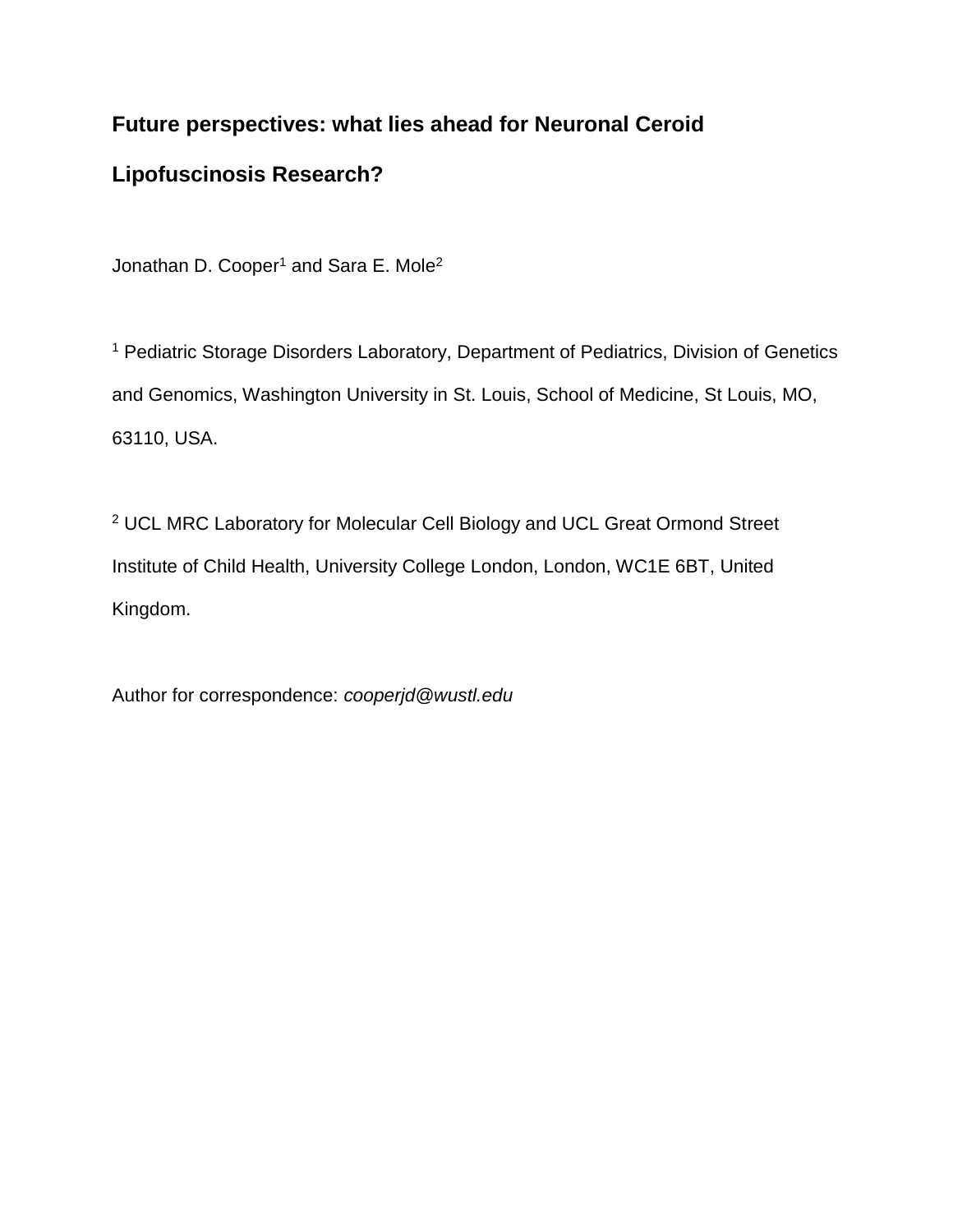# **Future perspectives: what lies ahead for Neuronal Ceroid**

# **Lipofuscinosis Research?**

Jonathan D. Cooper<sup>1</sup> and Sara E. Mole<sup>2</sup>

<sup>1</sup> Pediatric Storage Disorders Laboratory, Department of Pediatrics, Division of Genetics and Genomics, Washington University in St. Louis, School of Medicine, St Louis, MO, 63110, USA.

<sup>2</sup> UCL MRC Laboratory for Molecular Cell Biology and UCL Great Ormond Street Institute of Child Health, University College London, London, WC1E 6BT, United Kingdom.

Author for correspondence: *cooperjd@wustl.edu*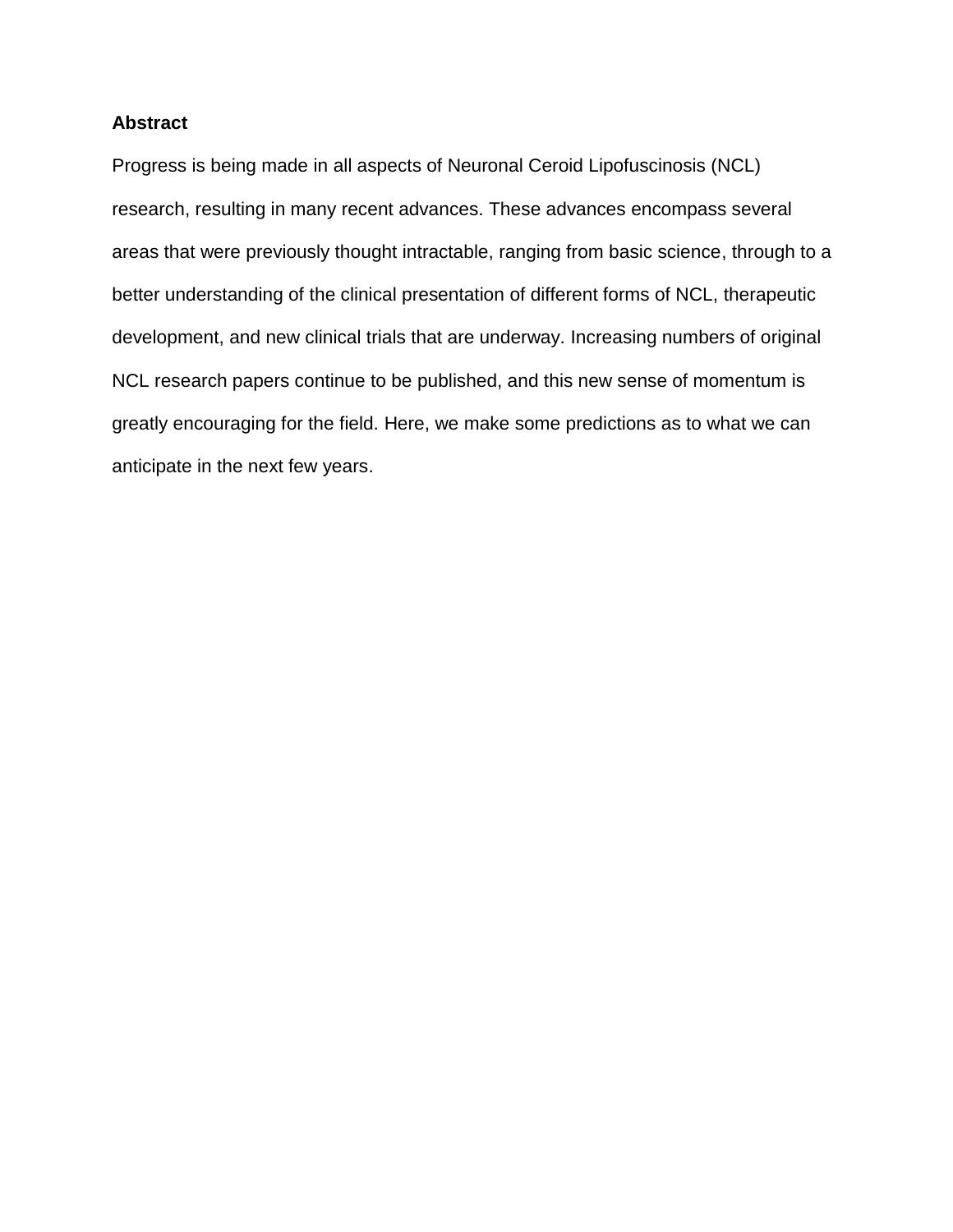## **Abstract**

Progress is being made in all aspects of Neuronal Ceroid Lipofuscinosis (NCL) research, resulting in many recent advances. These advances encompass several areas that were previously thought intractable, ranging from basic science, through to a better understanding of the clinical presentation of different forms of NCL, therapeutic development, and new clinical trials that are underway. Increasing numbers of original NCL research papers continue to be published, and this new sense of momentum is greatly encouraging for the field. Here, we make some predictions as to what we can anticipate in the next few years.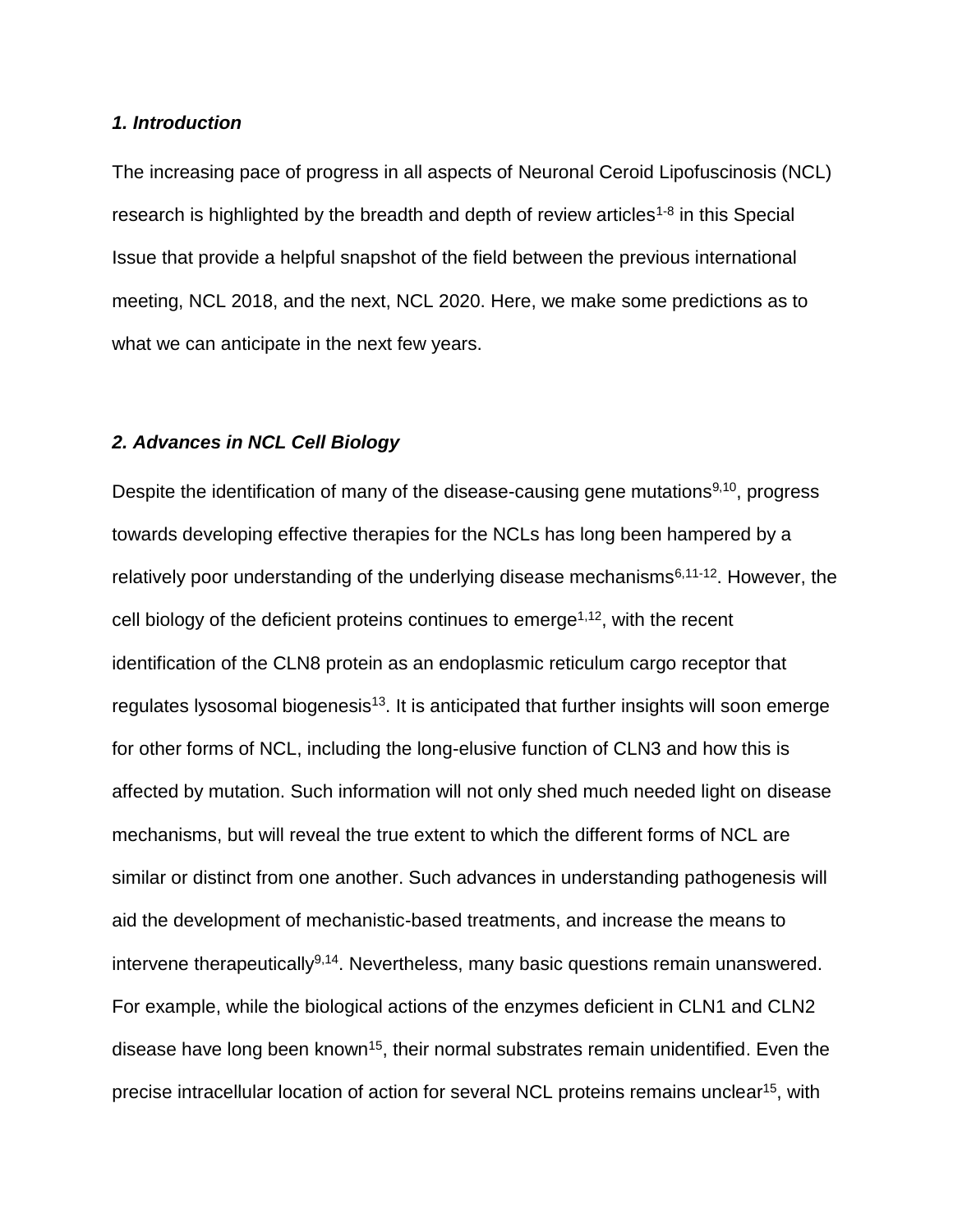## *1. Introduction*

The increasing pace of progress in all aspects of Neuronal Ceroid Lipofuscinosis (NCL) research is highlighted by the breadth and depth of review articles<sup>1-8</sup> in this Special Issue that provide a helpful snapshot of the field between the previous international meeting, NCL 2018, and the next, NCL 2020. Here, we make some predictions as to what we can anticipate in the next few years.

#### *2. Advances in NCL Cell Biology*

Despite the identification of many of the disease-causing gene mutations<sup>9,10</sup>, progress towards developing effective therapies for the NCLs has long been hampered by a relatively poor understanding of the underlying disease mechanisms<sup>6,11-12</sup>. However, the cell biology of the deficient proteins continues to emerge<sup>1,12</sup>, with the recent identification of the CLN8 protein as an endoplasmic reticulum cargo receptor that regulates lysosomal biogenesis<sup>13</sup>. It is anticipated that further insights will soon emerge for other forms of NCL, including the long-elusive function of CLN3 and how this is affected by mutation. Such information will not only shed much needed light on disease mechanisms, but will reveal the true extent to which the different forms of NCL are similar or distinct from one another. Such advances in understanding pathogenesis will aid the development of mechanistic-based treatments, and increase the means to intervene therapeutically<sup>9,14</sup>. Nevertheless, many basic questions remain unanswered. For example, while the biological actions of the enzymes deficient in CLN1 and CLN2 disease have long been known<sup>15</sup>, their normal substrates remain unidentified. Even the precise intracellular location of action for several NCL proteins remains unclear<sup>15</sup>, with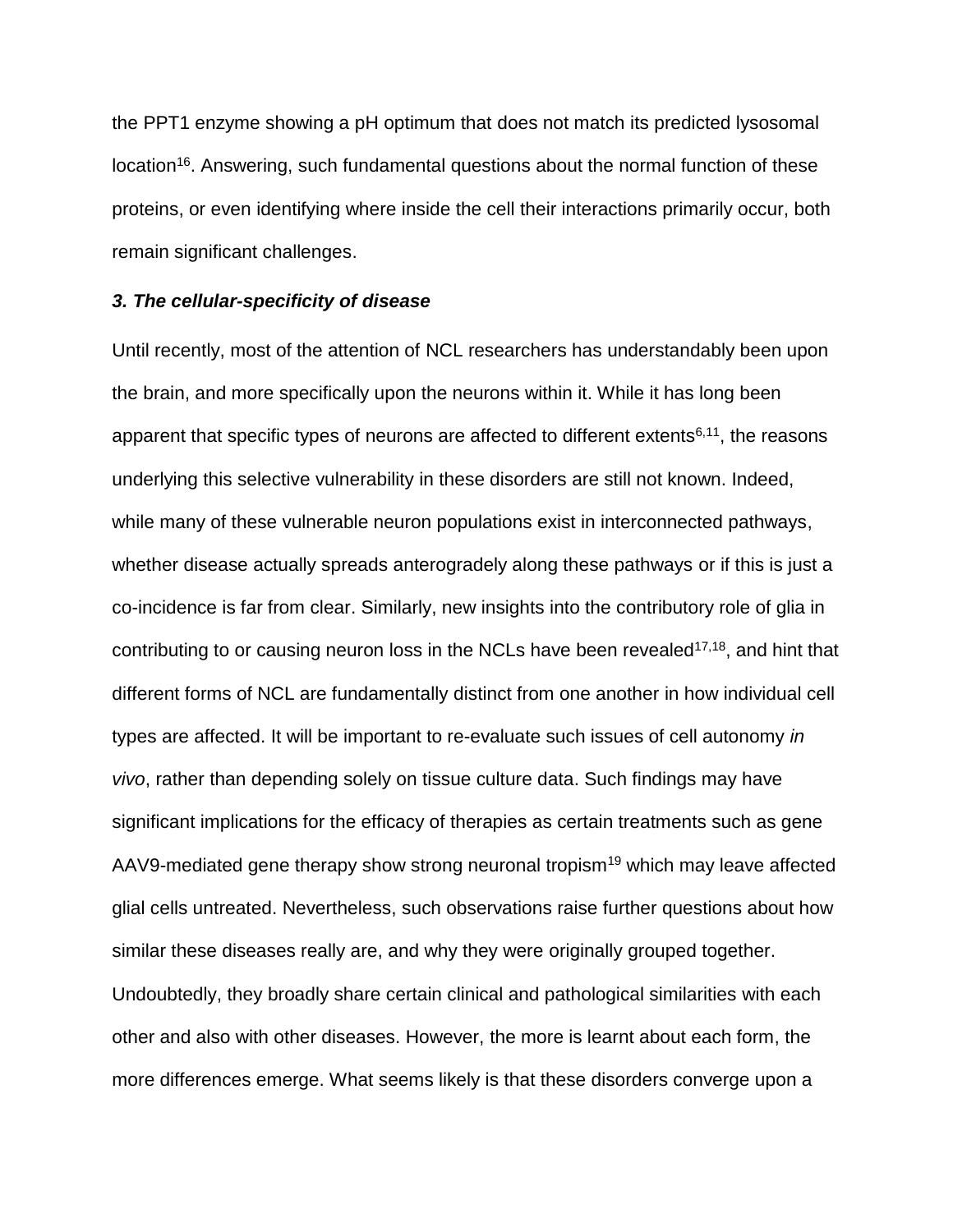the PPT1 enzyme showing a pH optimum that does not match its predicted lysosomal location<sup>16</sup>. Answering, such fundamental questions about the normal function of these proteins, or even identifying where inside the cell their interactions primarily occur, both remain significant challenges.

## *3. The cellular-specificity of disease*

Until recently, most of the attention of NCL researchers has understandably been upon the brain, and more specifically upon the neurons within it. While it has long been apparent that specific types of neurons are affected to different extents<sup>6,11</sup>, the reasons underlying this selective vulnerability in these disorders are still not known. Indeed, while many of these vulnerable neuron populations exist in interconnected pathways, whether disease actually spreads anterogradely along these pathways or if this is just a co-incidence is far from clear. Similarly, new insights into the contributory role of glia in contributing to or causing neuron loss in the NCLs have been revealed<sup>17,18</sup>, and hint that different forms of NCL are fundamentally distinct from one another in how individual cell types are affected. It will be important to re-evaluate such issues of cell autonomy *in vivo*, rather than depending solely on tissue culture data. Such findings may have significant implications for the efficacy of therapies as certain treatments such as gene AAV9-mediated gene therapy show strong neuronal tropism<sup>19</sup> which may leave affected glial cells untreated. Nevertheless, such observations raise further questions about how similar these diseases really are, and why they were originally grouped together. Undoubtedly, they broadly share certain clinical and pathological similarities with each other and also with other diseases. However, the more is learnt about each form, the more differences emerge. What seems likely is that these disorders converge upon a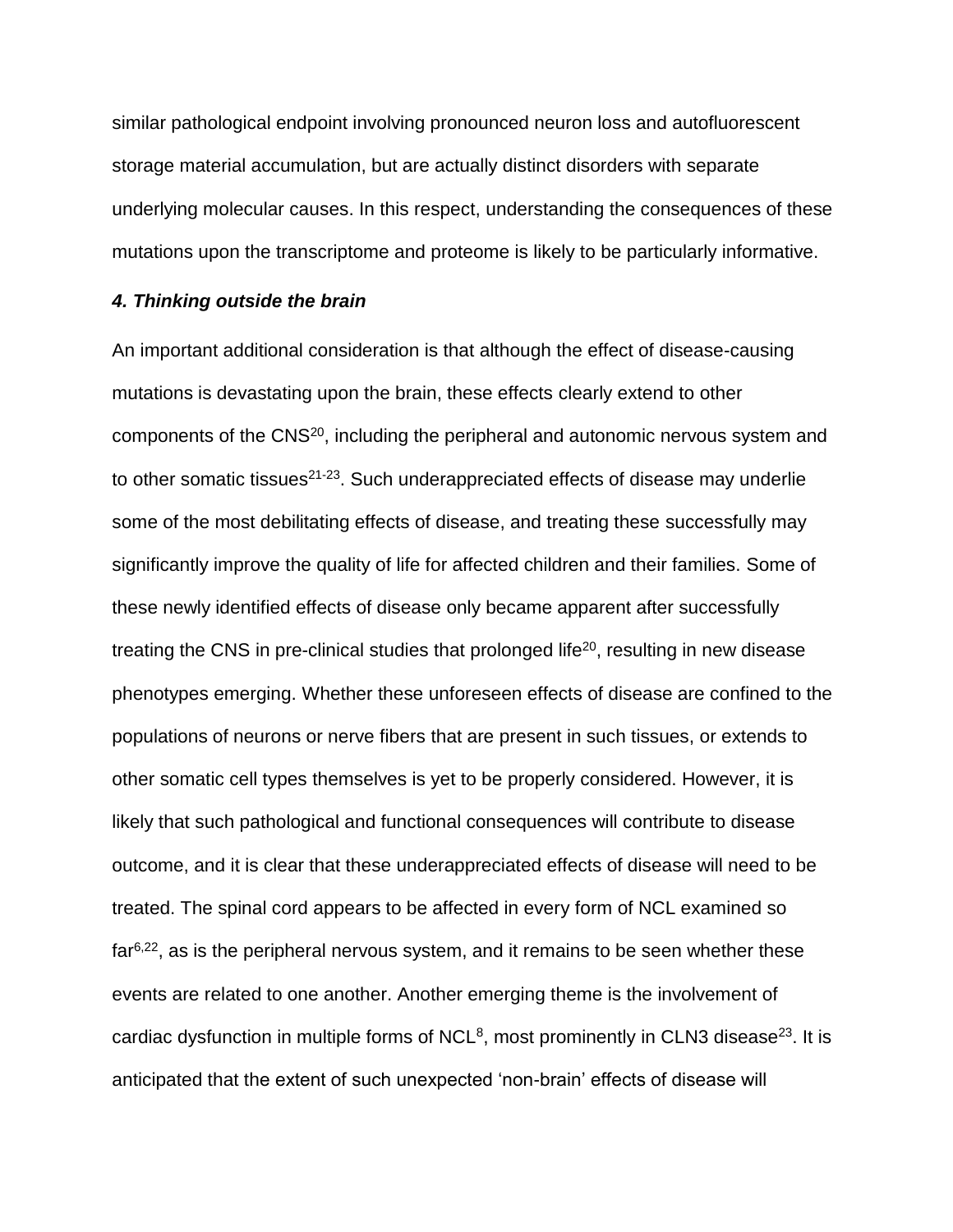similar pathological endpoint involving pronounced neuron loss and autofluorescent storage material accumulation, but are actually distinct disorders with separate underlying molecular causes. In this respect, understanding the consequences of these mutations upon the transcriptome and proteome is likely to be particularly informative.

## *4. Thinking outside the brain*

An important additional consideration is that although the effect of disease-causing mutations is devastating upon the brain, these effects clearly extend to other components of the CNS<sup>20</sup>, including the peripheral and autonomic nervous system and to other somatic tissues<sup>21-23</sup>. Such underappreciated effects of disease may underlie some of the most debilitating effects of disease, and treating these successfully may significantly improve the quality of life for affected children and their families. Some of these newly identified effects of disease only became apparent after successfully treating the CNS in pre-clinical studies that prolonged life<sup>20</sup>, resulting in new disease phenotypes emerging. Whether these unforeseen effects of disease are confined to the populations of neurons or nerve fibers that are present in such tissues, or extends to other somatic cell types themselves is yet to be properly considered. However, it is likely that such pathological and functional consequences will contribute to disease outcome, and it is clear that these underappreciated effects of disease will need to be treated. The spinal cord appears to be affected in every form of NCL examined so  $far<sup>6,22</sup>$ , as is the peripheral nervous system, and it remains to be seen whether these events are related to one another. Another emerging theme is the involvement of cardiac dysfunction in multiple forms of NCL<sup>8</sup>, most prominently in CLN3 disease<sup>23</sup>. It is anticipated that the extent of such unexpected 'non-brain' effects of disease will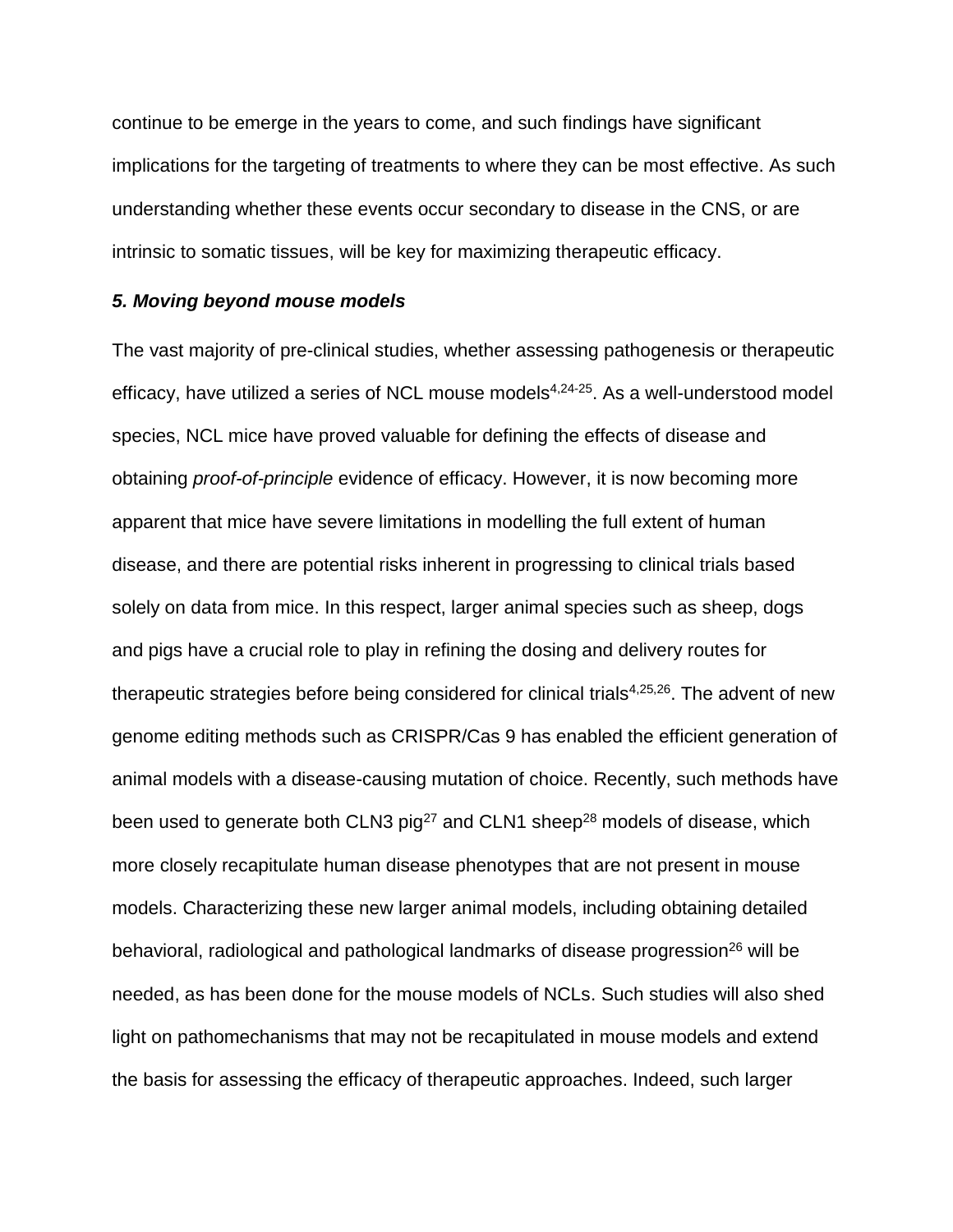continue to be emerge in the years to come, and such findings have significant implications for the targeting of treatments to where they can be most effective. As such understanding whether these events occur secondary to disease in the CNS, or are intrinsic to somatic tissues, will be key for maximizing therapeutic efficacy.

## *5. Moving beyond mouse models*

The vast majority of pre-clinical studies, whether assessing pathogenesis or therapeutic efficacy, have utilized a series of NCL mouse models<sup>4,24-25</sup>. As a well-understood model species, NCL mice have proved valuable for defining the effects of disease and obtaining *proof-of-principle* evidence of efficacy. However, it is now becoming more apparent that mice have severe limitations in modelling the full extent of human disease, and there are potential risks inherent in progressing to clinical trials based solely on data from mice. In this respect, larger animal species such as sheep, dogs and pigs have a crucial role to play in refining the dosing and delivery routes for therapeutic strategies before being considered for clinical trials<sup>4,25,26</sup>. The advent of new genome editing methods such as CRISPR/Cas 9 has enabled the efficient generation of animal models with a disease-causing mutation of choice. Recently, such methods have been used to generate both CLN3  $pi^{27}$  and CLN1 sheep<sup>28</sup> models of disease, which more closely recapitulate human disease phenotypes that are not present in mouse models. Characterizing these new larger animal models, including obtaining detailed behavioral, radiological and pathological landmarks of disease progression<sup>26</sup> will be needed, as has been done for the mouse models of NCLs. Such studies will also shed light on pathomechanisms that may not be recapitulated in mouse models and extend the basis for assessing the efficacy of therapeutic approaches. Indeed, such larger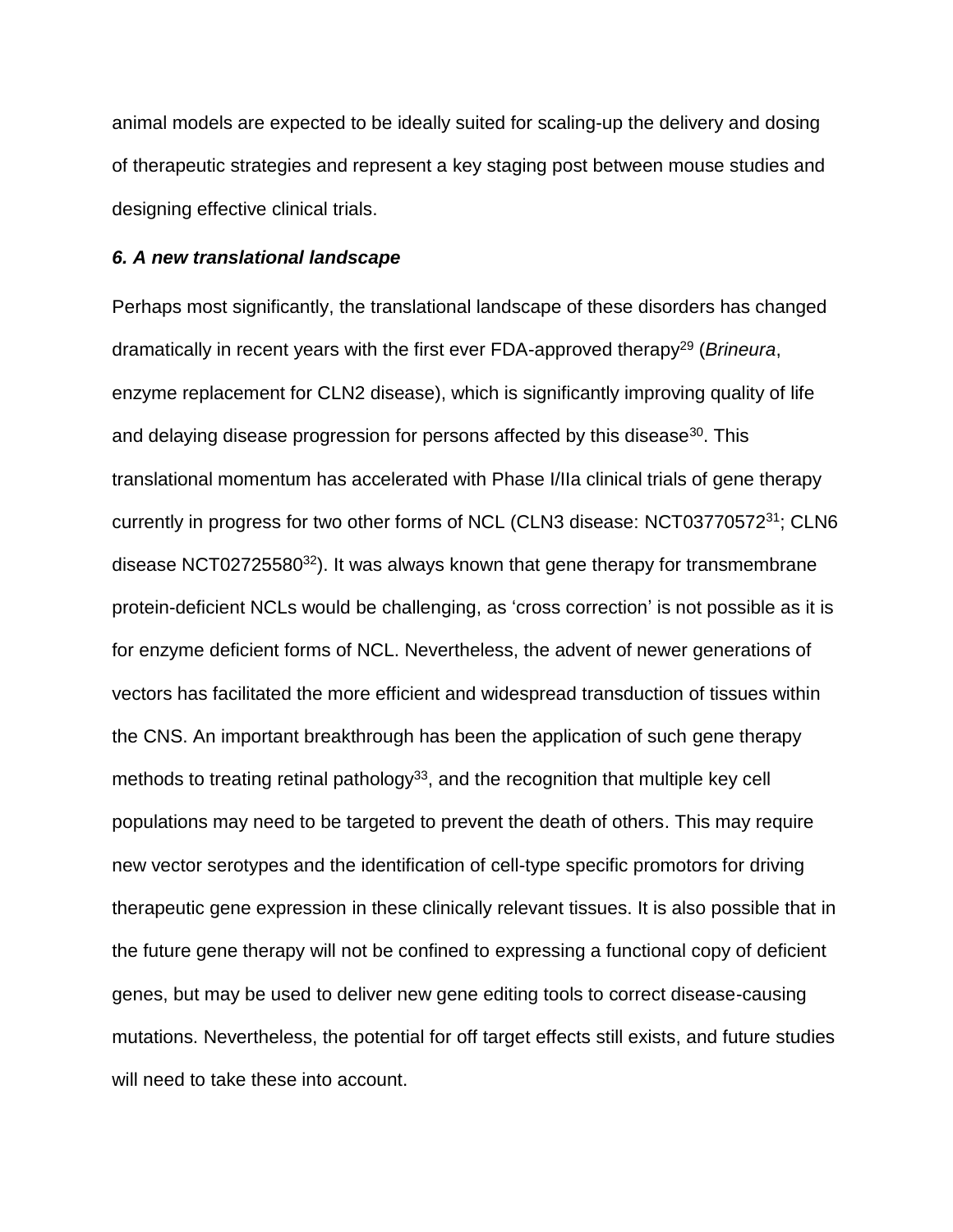animal models are expected to be ideally suited for scaling-up the delivery and dosing of therapeutic strategies and represent a key staging post between mouse studies and designing effective clinical trials.

#### *6. A new translational landscape*

Perhaps most significantly, the translational landscape of these disorders has changed dramatically in recent years with the first ever FDA-approved therapy<sup>29</sup> (*Brineura*, enzyme replacement for CLN2 disease), which is significantly improving quality of life and delaying disease progression for persons affected by this disease<sup>30</sup>. This translational momentum has accelerated with Phase I/IIa clinical trials of gene therapy currently in progress for two other forms of NCL (CLN3 disease: NCT03770572<sup>31</sup>; CLN6 disease NCT02725580 $32$ ). It was always known that gene therapy for transmembrane protein-deficient NCLs would be challenging, as 'cross correction' is not possible as it is for enzyme deficient forms of NCL. Nevertheless, the advent of newer generations of vectors has facilitated the more efficient and widespread transduction of tissues within the CNS. An important breakthrough has been the application of such gene therapy methods to treating retinal pathology<sup>33</sup>, and the recognition that multiple key cell populations may need to be targeted to prevent the death of others. This may require new vector serotypes and the identification of cell-type specific promotors for driving therapeutic gene expression in these clinically relevant tissues. It is also possible that in the future gene therapy will not be confined to expressing a functional copy of deficient genes, but may be used to deliver new gene editing tools to correct disease-causing mutations. Nevertheless, the potential for off target effects still exists, and future studies will need to take these into account.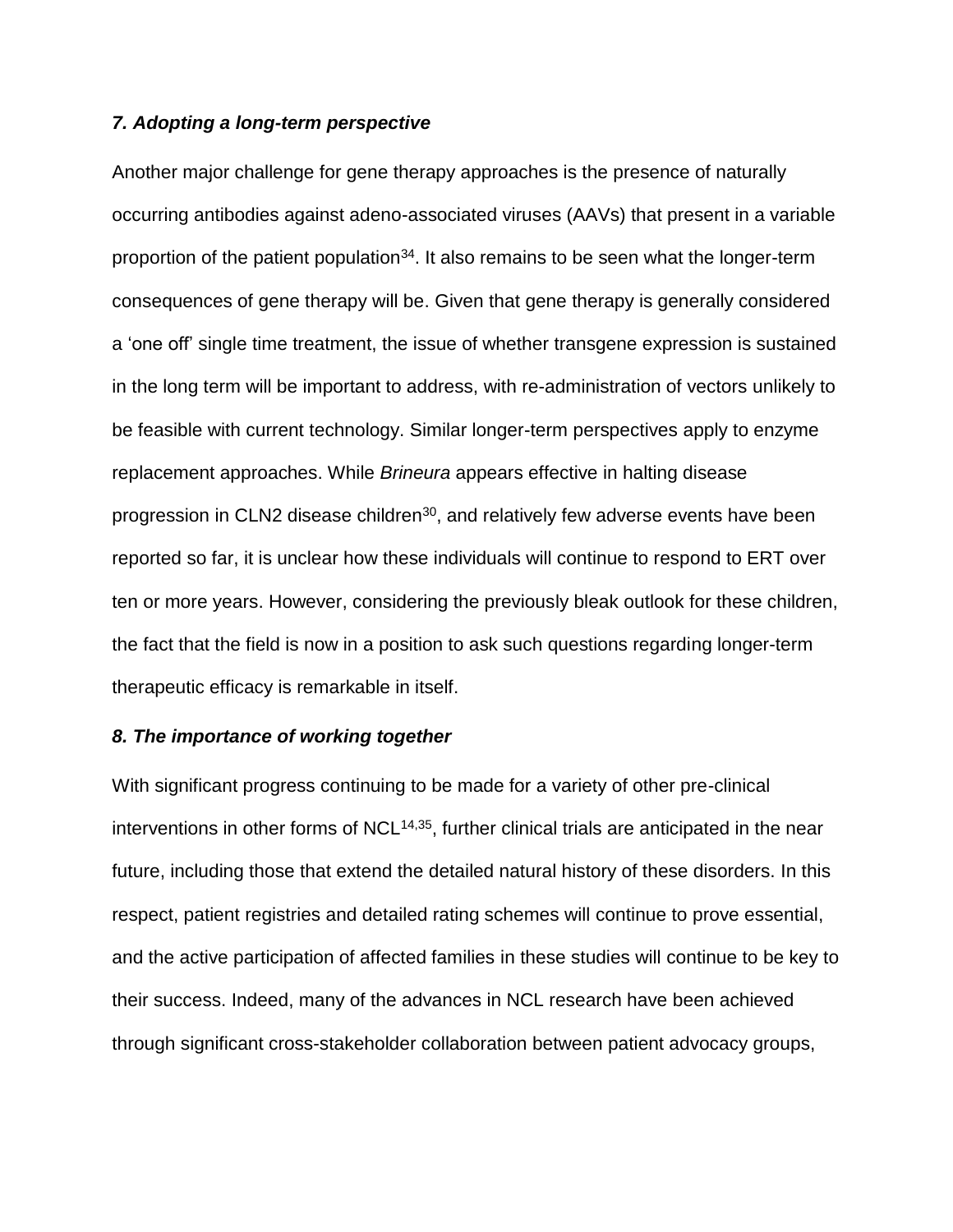#### *7. Adopting a long-term perspective*

Another major challenge for gene therapy approaches is the presence of naturally occurring antibodies against adeno-associated viruses (AAVs) that present in a variable proportion of the patient population<sup>34</sup>. It also remains to be seen what the longer-term consequences of gene therapy will be. Given that gene therapy is generally considered a 'one off' single time treatment, the issue of whether transgene expression is sustained in the long term will be important to address, with re-administration of vectors unlikely to be feasible with current technology. Similar longer-term perspectives apply to enzyme replacement approaches. While *Brineura* appears effective in halting disease progression in CLN2 disease children<sup>30</sup>, and relatively few adverse events have been reported so far, it is unclear how these individuals will continue to respond to ERT over ten or more years. However, considering the previously bleak outlook for these children, the fact that the field is now in a position to ask such questions regarding longer-term therapeutic efficacy is remarkable in itself.

## *8. The importance of working together*

With significant progress continuing to be made for a variety of other pre-clinical interventions in other forms of  $NCL^{14,35}$ , further clinical trials are anticipated in the near future, including those that extend the detailed natural history of these disorders. In this respect, patient registries and detailed rating schemes will continue to prove essential, and the active participation of affected families in these studies will continue to be key to their success. Indeed, many of the advances in NCL research have been achieved through significant cross-stakeholder collaboration between patient advocacy groups,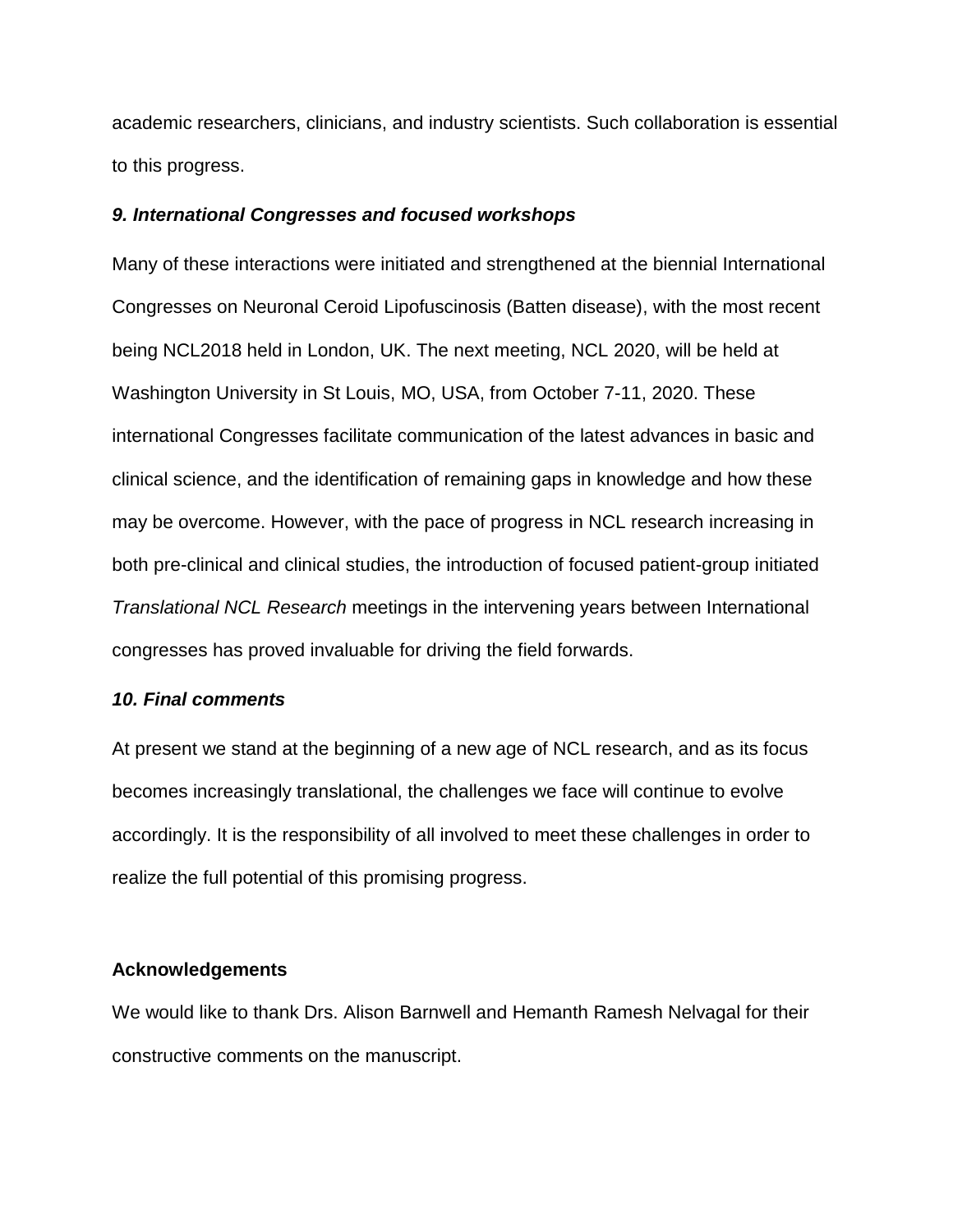academic researchers, clinicians, and industry scientists. Such collaboration is essential to this progress.

## *9. International Congresses and focused workshops*

Many of these interactions were initiated and strengthened at the biennial International Congresses on Neuronal Ceroid Lipofuscinosis (Batten disease), with the most recent being NCL2018 held in London, UK. The next meeting, NCL 2020, will be held at Washington University in St Louis, MO, USA, from October 7-11, 2020. These international Congresses facilitate communication of the latest advances in basic and clinical science, and the identification of remaining gaps in knowledge and how these may be overcome. However, with the pace of progress in NCL research increasing in both pre-clinical and clinical studies, the introduction of focused patient-group initiated *Translational NCL Research* meetings in the intervening years between International congresses has proved invaluable for driving the field forwards.

#### *10. Final comments*

At present we stand at the beginning of a new age of NCL research, and as its focus becomes increasingly translational, the challenges we face will continue to evolve accordingly. It is the responsibility of all involved to meet these challenges in order to realize the full potential of this promising progress.

#### **Acknowledgements**

We would like to thank Drs. Alison Barnwell and Hemanth Ramesh Nelvagal for their constructive comments on the manuscript.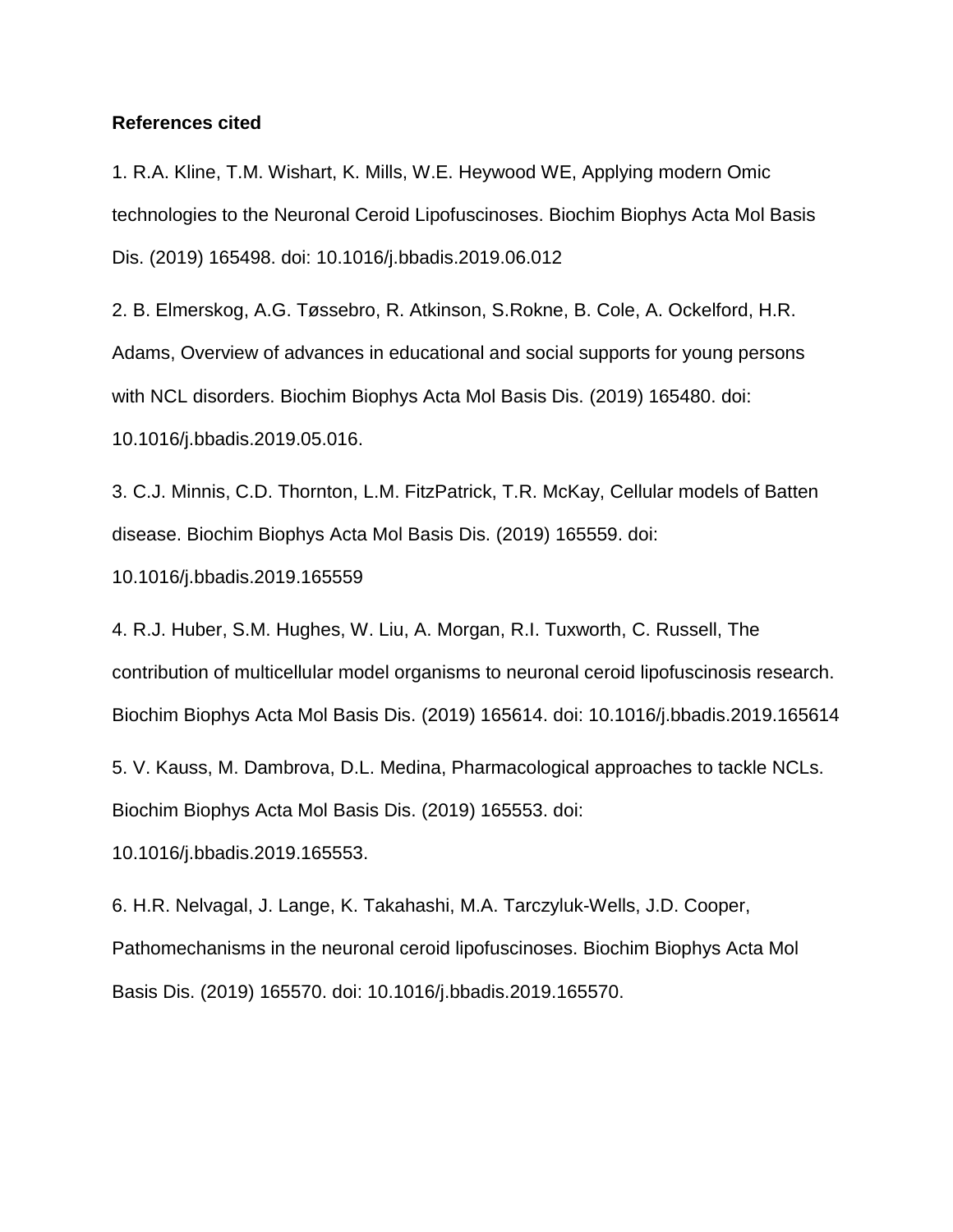#### **References cited**

1. R.A. Kline, T.M. Wishart, K. Mills, W.E. Heywood WE, Applying modern Omic technologies to the Neuronal Ceroid Lipofuscinoses. Biochim Biophys Acta Mol Basis Dis. (2019) 165498. doi: 10.1016/j.bbadis.2019.06.012

2. B. Elmerskog, A.G. Tøssebro, R. Atkinson, S.Rokne, B. Cole, A. Ockelford, H.R. Adams, Overview of advances in educational and social supports for young persons with NCL disorders. Biochim Biophys Acta Mol Basis Dis. (2019) 165480. doi: 10.1016/j.bbadis.2019.05.016.

3. C.J. Minnis, C.D. Thornton, L.M. FitzPatrick, T.R. McKay, Cellular models of Batten disease. Biochim Biophys Acta Mol Basis Dis. (2019) 165559. doi:

10.1016/j.bbadis.2019.165559

4. R.J. Huber, S.M. Hughes, W. Liu, A. Morgan, R.I. Tuxworth, C. Russell, The contribution of multicellular model organisms to neuronal ceroid lipofuscinosis research. Biochim Biophys Acta Mol Basis Dis. (2019) 165614. doi: 10.1016/j.bbadis.2019.165614

5. V. Kauss, M. Dambrova, D.L. Medina, Pharmacological approaches to tackle NCLs. Biochim Biophys Acta Mol Basis Dis. (2019) 165553. doi:

10.1016/j.bbadis.2019.165553.

6. H.R. Nelvagal, J. Lange, K. Takahashi, M.A. Tarczyluk-Wells, J.D. Cooper, Pathomechanisms in the neuronal ceroid lipofuscinoses. Biochim Biophys Acta Mol Basis Dis. (2019) 165570. doi: 10.1016/j.bbadis.2019.165570.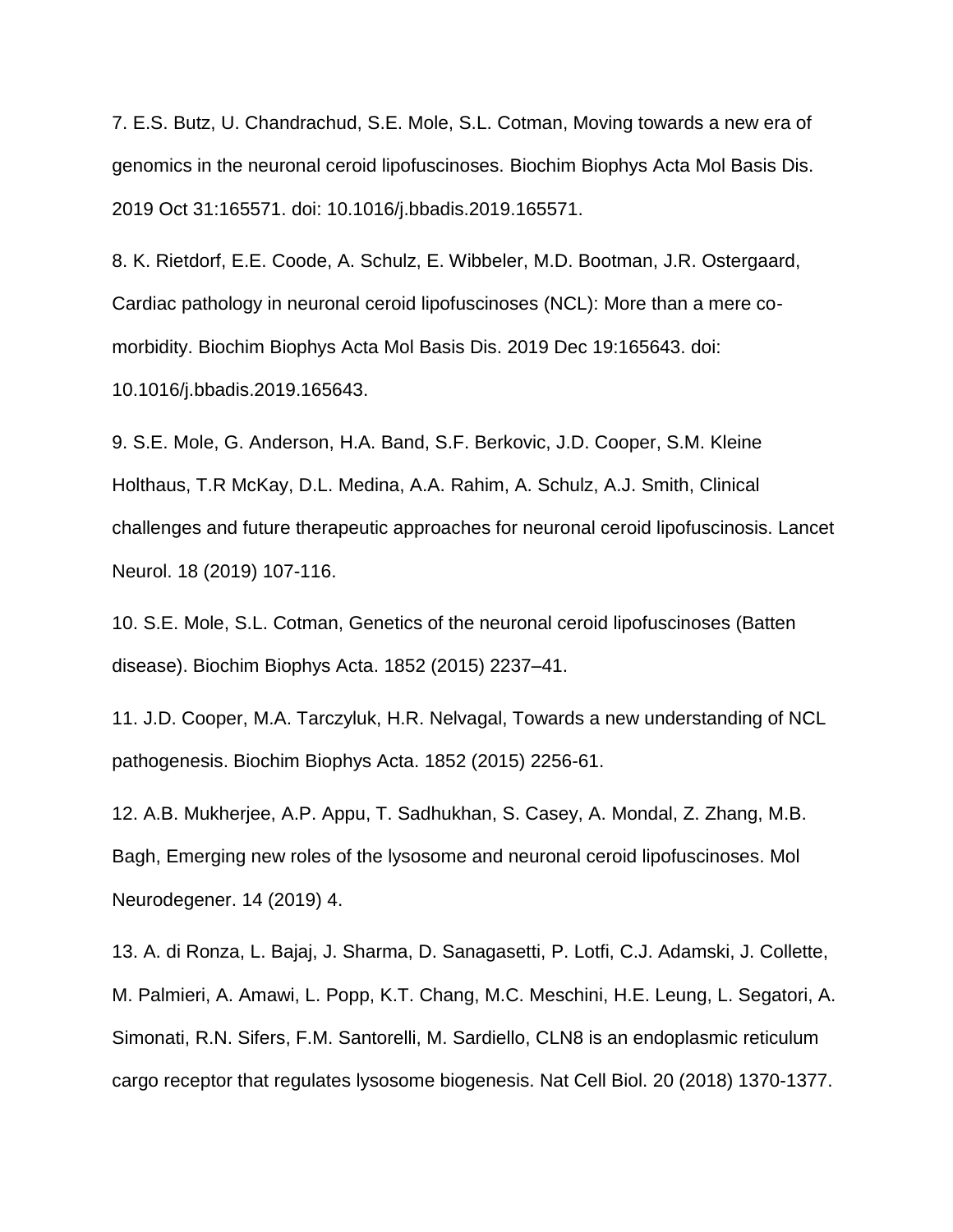7. E.S. Butz, U. Chandrachud, S.E. Mole, S.L. Cotman, Moving towards a new era of genomics in the neuronal ceroid lipofuscinoses. Biochim Biophys Acta Mol Basis Dis. 2019 Oct 31:165571. doi: 10.1016/j.bbadis.2019.165571.

8. K. Rietdorf, E.E. Coode, A. Schulz, E. Wibbeler, M.D. Bootman, J.R. Ostergaard, Cardiac pathology in neuronal ceroid lipofuscinoses (NCL): More than a mere comorbidity. Biochim Biophys Acta Mol Basis Dis. 2019 Dec 19:165643. doi: 10.1016/j.bbadis.2019.165643.

9. S.E. Mole, G. Anderson, H.A. Band, S.F. Berkovic, J.D. Cooper, S.M. Kleine Holthaus, T.R McKay, D.L. Medina, A.A. Rahim, A. Schulz, A.J. Smith, Clinical challenges and future therapeutic approaches for neuronal ceroid lipofuscinosis. Lancet Neurol. 18 (2019) 107-116.

10. S.E. Mole, S.L. Cotman, Genetics of the neuronal ceroid lipofuscinoses (Batten disease). Biochim Biophys Acta. 1852 (2015) 2237–41.

11. J.D. Cooper, M.A. Tarczyluk, H.R. Nelvagal, Towards a new understanding of NCL pathogenesis. Biochim Biophys Acta. 1852 (2015) 2256-61.

12. A.B. Mukherjee, A.P. Appu, T. Sadhukhan, S. Casey, A. Mondal, Z. Zhang, M.B. Bagh, Emerging new roles of the lysosome and neuronal ceroid lipofuscinoses. Mol Neurodegener. 14 (2019) 4.

13. A. di Ronza, L. Bajaj, J. Sharma, D. Sanagasetti, P. Lotfi, C.J. Adamski, J. Collette, M. Palmieri, A. Amawi, L. Popp, K.T. Chang, M.C. Meschini, H.E. Leung, L. Segatori, A. Simonati, R.N. Sifers, F.M. Santorelli, M. Sardiello, CLN8 is an endoplasmic reticulum cargo receptor that regulates lysosome biogenesis. Nat Cell Biol. 20 (2018) 1370-1377.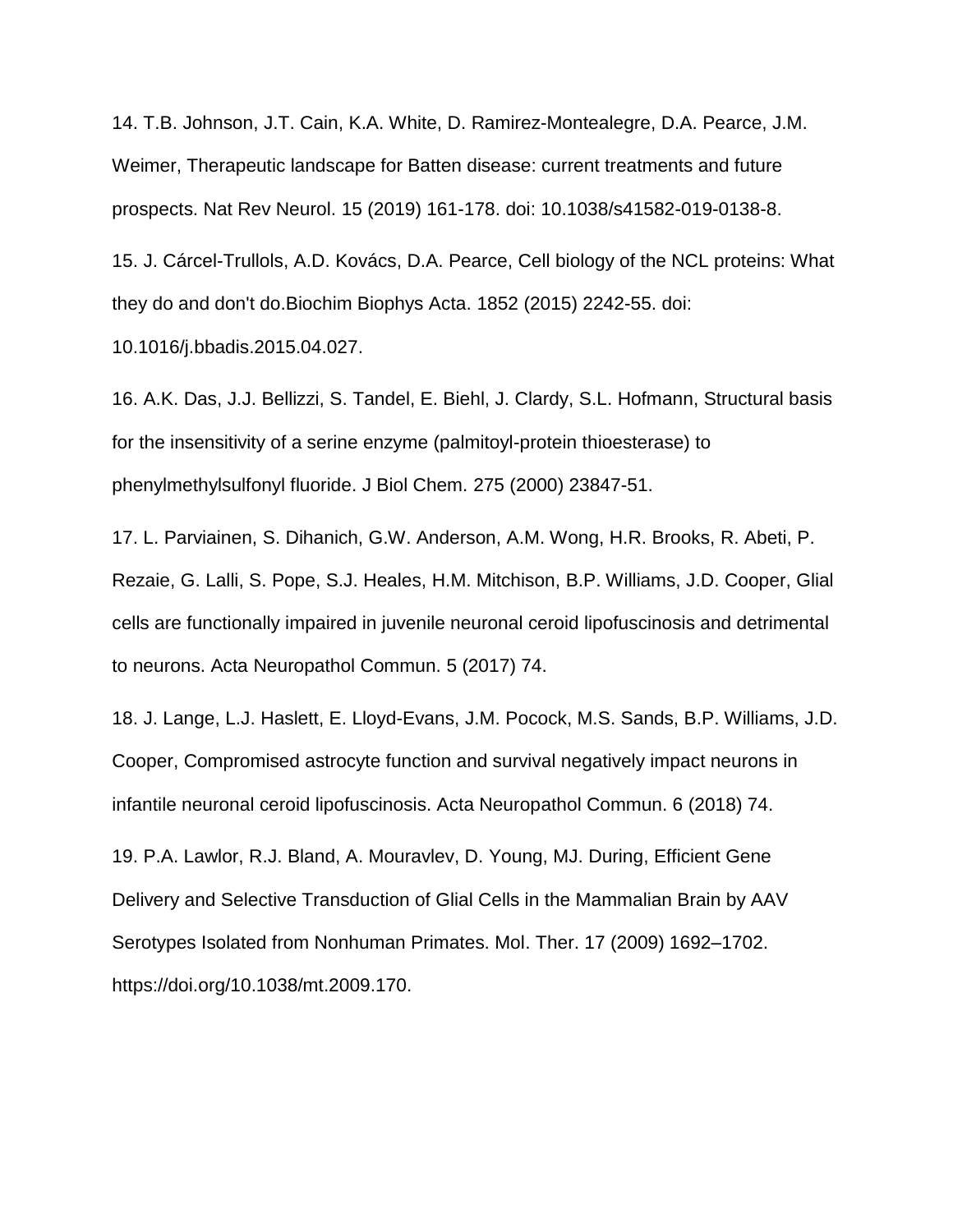14. T.B. Johnson, J.T. Cain, K.A. White, D. Ramirez-Montealegre, D.A. Pearce, J.M. Weimer, Therapeutic landscape for Batten disease: current treatments and future prospects. Nat Rev Neurol. 15 (2019) 161-178. doi: 10.1038/s41582-019-0138-8.

15. J. Cárcel-Trullols, A.D. Kovács, D.A. Pearce, Cell biology of the NCL proteins: What they do and don't do.Biochim Biophys Acta. 1852 (2015) 2242-55. doi:

10.1016/j.bbadis.2015.04.027.

16. A.K. Das, J.J. Bellizzi, S. Tandel, E. Biehl, J. Clardy, S.L. Hofmann, Structural basis for the insensitivity of a serine enzyme (palmitoyl-protein thioesterase) to phenylmethylsulfonyl fluoride. J Biol Chem. 275 (2000) 23847-51.

17. L. Parviainen, S. Dihanich, G.W. Anderson, A.M. Wong, H.R. Brooks, R. Abeti, P. Rezaie, G. Lalli, S. Pope, S.J. Heales, H.M. Mitchison, B.P. Williams, J.D. Cooper, Glial cells are functionally impaired in juvenile neuronal ceroid lipofuscinosis and detrimental to neurons. Acta Neuropathol Commun. 5 (2017) 74.

18. J. Lange, L.J. Haslett, E. Lloyd-Evans, J.M. Pocock, M.S. Sands, B.P. Williams, J.D. Cooper, Compromised astrocyte function and survival negatively impact neurons in infantile neuronal ceroid lipofuscinosis. Acta Neuropathol Commun. 6 (2018) 74.

19. P.A. Lawlor, R.J. Bland, A. Mouravlev, D. Young, MJ. During, Efficient Gene Delivery and Selective Transduction of Glial Cells in the Mammalian Brain by AAV Serotypes Isolated from Nonhuman Primates. Mol. Ther. 17 (2009) 1692–1702. https://doi.org/10.1038/mt.2009.170.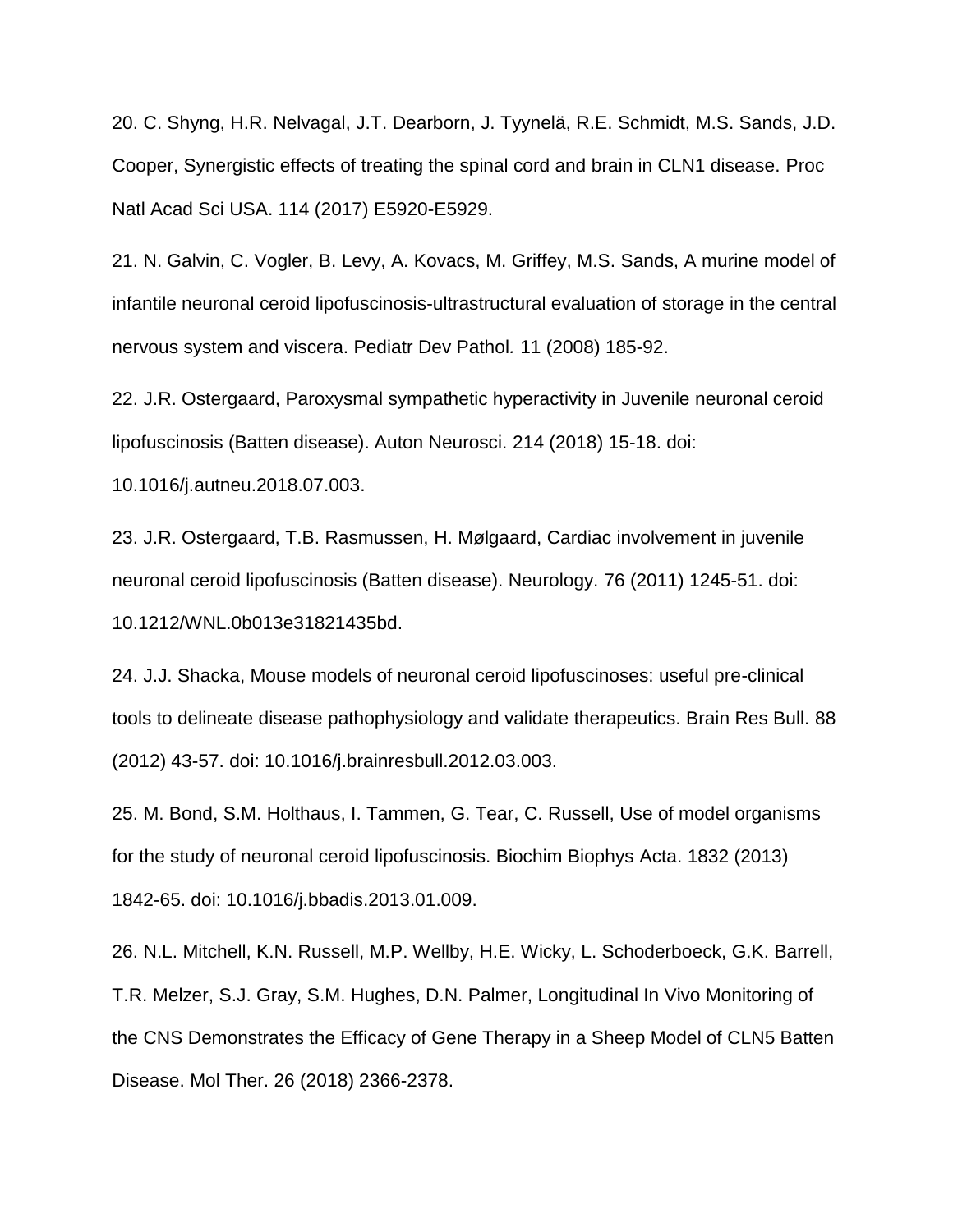20. C. Shyng, H.R. Nelvagal, J.T. Dearborn, J. Tyynelä, R.E. Schmidt, M.S. Sands, J.D. Cooper, Synergistic effects of treating the spinal cord and brain in CLN1 disease. Proc Natl Acad Sci USA. 114 (2017) E5920-E5929.

21. N. Galvin, C. Vogler, B. Levy, A. Kovacs, M. Griffey, M.S. Sands, A murine model of infantile neuronal ceroid lipofuscinosis-ultrastructural evaluation of storage in the central nervous system and viscera. Pediatr Dev Pathol*.* 11 (2008) 185-92.

22. J.R. Ostergaard, Paroxysmal sympathetic hyperactivity in Juvenile neuronal ceroid lipofuscinosis (Batten disease). Auton Neurosci. 214 (2018) 15-18. doi:

10.1016/j.autneu.2018.07.003.

23. J.R. Ostergaard, T.B. Rasmussen, H. Mølgaard, Cardiac involvement in juvenile neuronal ceroid lipofuscinosis (Batten disease). Neurology. 76 (2011) 1245-51. doi: 10.1212/WNL.0b013e31821435bd.

24. J.J. Shacka, Mouse models of neuronal ceroid lipofuscinoses: useful pre-clinical tools to delineate disease pathophysiology and validate therapeutics. Brain Res Bull. 88 (2012) 43-57. doi: 10.1016/j.brainresbull.2012.03.003.

25. M. Bond, S.M. Holthaus, I. Tammen, G. Tear, C. Russell, Use of model organisms for the study of neuronal ceroid lipofuscinosis. Biochim Biophys Acta. 1832 (2013) 1842-65. doi: 10.1016/j.bbadis.2013.01.009.

26. N.L. Mitchell, K.N. Russell, M.P. Wellby, H.E. Wicky, L. Schoderboeck, G.K. Barrell, T.R. Melzer, S.J. Gray, S.M. Hughes, D.N. Palmer, Longitudinal In Vivo Monitoring of the CNS Demonstrates the Efficacy of Gene Therapy in a Sheep Model of CLN5 Batten Disease. Mol Ther. 26 (2018) 2366-2378.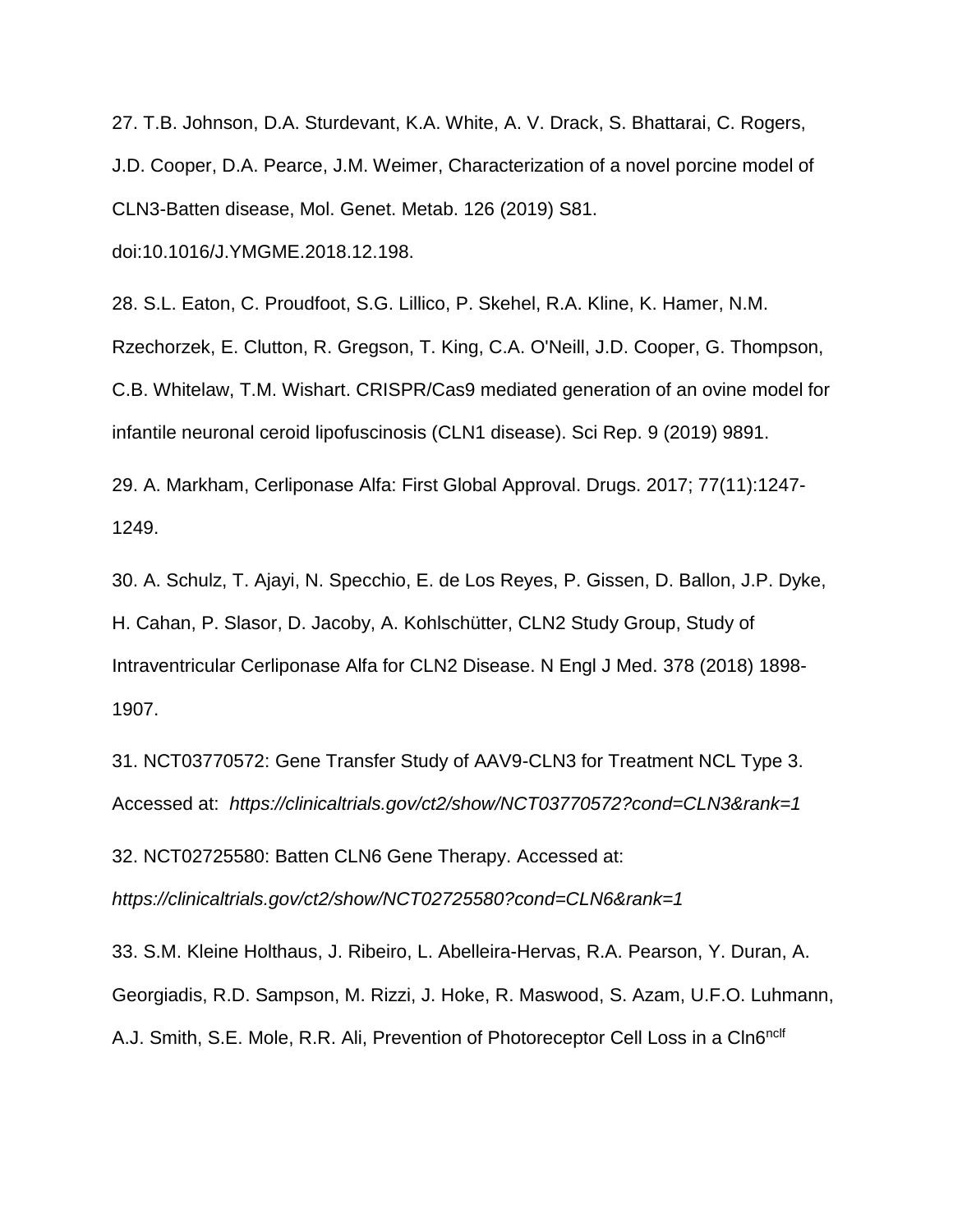27. T.B. Johnson, D.A. Sturdevant, K.A. White, A. V. Drack, S. Bhattarai, C. Rogers, J.D. Cooper, D.A. Pearce, J.M. Weimer, Characterization of a novel porcine model of CLN3-Batten disease, Mol. Genet. Metab. 126 (2019) S81.

doi:10.1016/J.YMGME.2018.12.198.

28. S.L. Eaton, C. Proudfoot, S.G. Lillico, P. Skehel, R.A. Kline, K. Hamer, N.M. Rzechorzek, E. Clutton, R. Gregson, T. King, C.A. O'Neill, J.D. Cooper, G. Thompson, C.B. Whitelaw, T.M. Wishart. CRISPR/Cas9 mediated generation of an ovine model for infantile neuronal ceroid lipofuscinosis (CLN1 disease). Sci Rep. 9 (2019) 9891.

29. A. Markham, Cerliponase Alfa: First Global Approval. Drugs. 2017; 77(11):1247- 1249.

30. A. Schulz, T. Ajayi, N. Specchio, E. de Los Reyes, P. Gissen, D. Ballon, J.P. Dyke, H. Cahan, P. Slasor, D. Jacoby, A. Kohlschütter, CLN2 Study Group, Study of Intraventricular Cerliponase Alfa for CLN2 Disease. N Engl J Med. 378 (2018) 1898- 1907.

31. NCT03770572: Gene Transfer Study of AAV9-CLN3 for Treatment NCL Type 3. Accessed at: *https://clinicaltrials.gov/ct2/show/NCT03770572?cond=CLN3&rank=1*

32. NCT02725580: Batten CLN6 Gene Therapy. Accessed at: *https://clinicaltrials.gov/ct2/show/NCT02725580?cond=CLN6&rank=1*

33. S.M. Kleine Holthaus, J. Ribeiro, L. Abelleira-Hervas, R.A. Pearson, Y. Duran, A. Georgiadis, R.D. Sampson, M. Rizzi, J. Hoke, R. Maswood, S. Azam, U.F.O. Luhmann, A.J. Smith, S.E. Mole, R.R. Ali, Prevention of Photoreceptor Cell Loss in a Cln6<sup>nclf</sup>